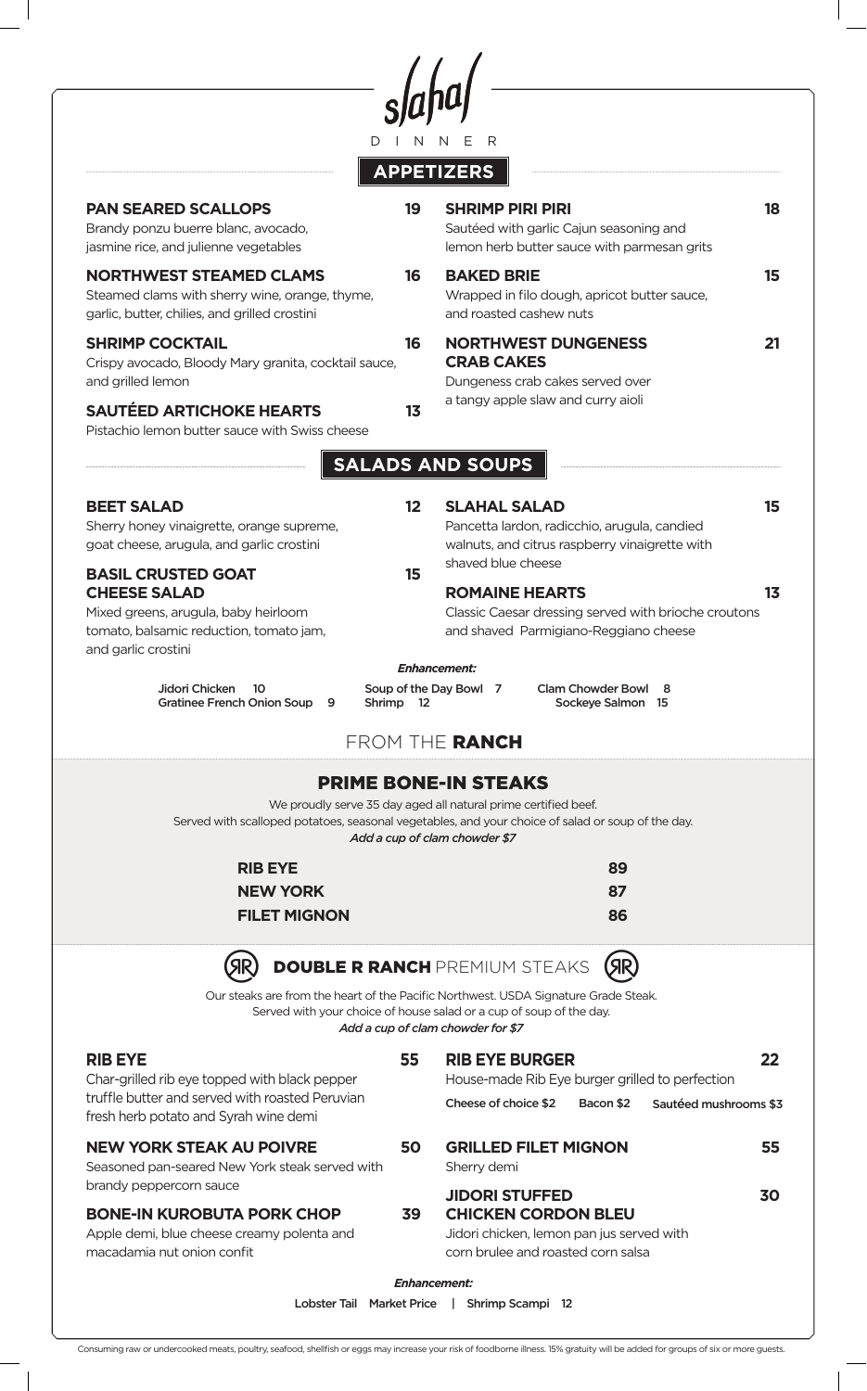$\int_{D \text{I/N}}\text{d} \mu$ 

# **APPETIZERS**

| <b>PAN SEARED SCALLOPS</b><br>Brandy ponzu buerre blanc, avocado,<br>jasmine rice, and julienne vegetables                                                                                                                                                                     | 19                      | <b>SHRIMP PIRI PIRI</b><br>Sautéed with garlic Cajun seasoning and<br>lemon herb butter sauce with parmesan grits                                    | 18             |
|--------------------------------------------------------------------------------------------------------------------------------------------------------------------------------------------------------------------------------------------------------------------------------|-------------------------|------------------------------------------------------------------------------------------------------------------------------------------------------|----------------|
| <b>NORTHWEST STEAMED CLAMS</b><br>Steamed clams with sherry wine, orange, thyme,<br>garlic, butter, chilies, and grilled crostini                                                                                                                                              | 16                      | <b>BAKED BRIE</b><br>Wrapped in filo dough, apricot butter sauce,<br>and roasted cashew nuts                                                         | 15             |
| <b>SHRIMP COCKTAIL</b><br>Crispy avocado, Bloody Mary granita, cocktail sauce,<br>and grilled lemon                                                                                                                                                                            | 16                      | <b>NORTHWEST DUNGENESS</b><br><b>CRAB CAKES</b><br>Dungeness crab cakes served over                                                                  | 21             |
| <b>SAUTÉED ARTICHOKE HEARTS</b><br>Pistachio lemon butter sauce with Swiss cheese                                                                                                                                                                                              | 1 <sub>3</sub>          | a tangy apple slaw and curry aioli                                                                                                                   |                |
| <b>SALADS AND SOUPS</b>                                                                                                                                                                                                                                                        |                         |                                                                                                                                                      |                |
| <b>BEET SALAD</b><br>Sherry honey vinaigrette, orange supreme,<br>goat cheese, arugula, and garlic crostini<br><b>BASIL CRUSTED GOAT</b>                                                                                                                                       | $12 \overline{ }$<br>15 | <b>SLAHAL SALAD</b><br>Pancetta lardon, radicchio, arugula, candied<br>walnuts, and citrus raspberry vinaigrette with<br>shaved blue cheese          | 15             |
| <b>CHEESE SALAD</b><br>Mixed greens, arugula, baby heirloom<br>tomato, balsamic reduction, tomato jam,<br>and garlic crostini                                                                                                                                                  |                         | <b>ROMAINE HEARTS</b><br>Classic Caesar dressing served with brioche croutons<br>and shaved Parmigiano-Reggiano cheese                               | 1 <sub>3</sub> |
| Jidori Chicken<br><b>Clam Chowder Bowl</b><br>Soup of the Day Bowl 7<br>10<br>8<br><b>Gratinee French Onion Soup</b><br>Shrimp 12<br>Sockeye Salmon 15<br>9<br>FROM THE RANCH<br><b>PRIME BONE-IN STEAKS</b><br>We proudly serve 35 day aged all natural prime certified beef. |                         |                                                                                                                                                      |                |
| <b>RIB EYE</b><br><b>NEW YORK</b><br><b>FILET MIGNON</b>                                                                                                                                                                                                                       |                         | Served with scalloped potatoes, seasonal vegetables, and your choice of salad or soup of the day.<br>Add a cup of clam chowder \$7<br>89<br>87<br>86 |                |
| <b>DOUBLE R RANCH</b> PREMIUM STEAKS<br><b>SIR</b>                                                                                                                                                                                                                             |                         |                                                                                                                                                      |                |
| Our steaks are from the heart of the Pacific Northwest. USDA Signature Grade Steak.<br>Served with your choice of house salad or a cup of soup of the day.<br>Add a cup of clam chowder for \$7                                                                                |                         |                                                                                                                                                      |                |
| <b>RIB EYE</b><br>Char-grilled rib eye topped with black pepper                                                                                                                                                                                                                | 55                      | <b>RIB EYE BURGER</b><br>House-made Rib Eye burger grilled to perfection                                                                             | 22             |
| truffle butter and served with roasted Peruvian<br>fresh herb potato and Syrah wine demi                                                                                                                                                                                       |                         | Cheese of choice \$2<br>Bacon \$2<br>Sautéed mushrooms \$3                                                                                           |                |
| <b>NEW YORK STEAK AU POIVRE</b><br>Seasoned pan-seared New York steak served with<br>brandy peppercorn sauce                                                                                                                                                                   | 50                      | <b>GRILLED FILET MIGNON</b><br>Sherry demi                                                                                                           | 55             |
| <b>BONE-IN KUROBUTA PORK CHOP</b><br>Apple demi, blue cheese creamy polenta and<br>macadamia nut onion confit                                                                                                                                                                  | 39                      | <b>JIDORI STUFFED</b><br><b>CHICKEN CORDON BLEU</b><br>Jidori chicken, lemon pan jus served with<br>corn brulee and roasted corn salsa               | 30             |
| Enhancement:                                                                                                                                                                                                                                                                   |                         |                                                                                                                                                      |                |
| Lobster Tail Market Price<br>Shrimp Scampi 12                                                                                                                                                                                                                                  |                         |                                                                                                                                                      |                |

Consuming raw or undercooked meats, poultry, seafood, shellfish or eggs may increase your risk of foodborne illness. 15% gratuity will be added for groups of six or more guests.